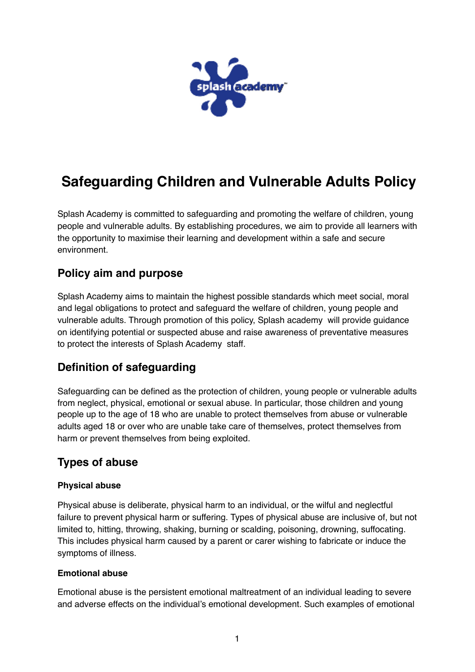

# **Safeguarding Children and Vulnerable Adults Policy**

Splash Academy is committed to safeguarding and promoting the welfare of children, young people and vulnerable adults. By establishing procedures, we aim to provide all learners with the opportunity to maximise their learning and development within a safe and secure environment.

## **Policy aim and purpose**

Splash Academy aims to maintain the highest possible standards which meet social, moral and legal obligations to protect and safeguard the welfare of children, young people and vulnerable adults. Through promotion of this policy, Splash academy will provide guidance on identifying potential or suspected abuse and raise awareness of preventative measures to protect the interests of Splash Academy staff.

## **Definition of safeguarding**

Safeguarding can be defined as the protection of children, young people or vulnerable adults from neglect, physical, emotional or sexual abuse. In particular, those children and young people up to the age of 18 who are unable to protect themselves from abuse or vulnerable adults aged 18 or over who are unable take care of themselves, protect themselves from harm or prevent themselves from being exploited.

## **Types of abuse**

#### **Physical abuse**

Physical abuse is deliberate, physical harm to an individual, or the wilful and neglectful failure to prevent physical harm or suffering. Types of physical abuse are inclusive of, but not limited to, hitting, throwing, shaking, burning or scalding, poisoning, drowning, suffocating. This includes physical harm caused by a parent or carer wishing to fabricate or induce the symptoms of illness.

#### **Emotional abuse**

Emotional abuse is the persistent emotional maltreatment of an individual leading to severe and adverse effects on the individual's emotional development. Such examples of emotional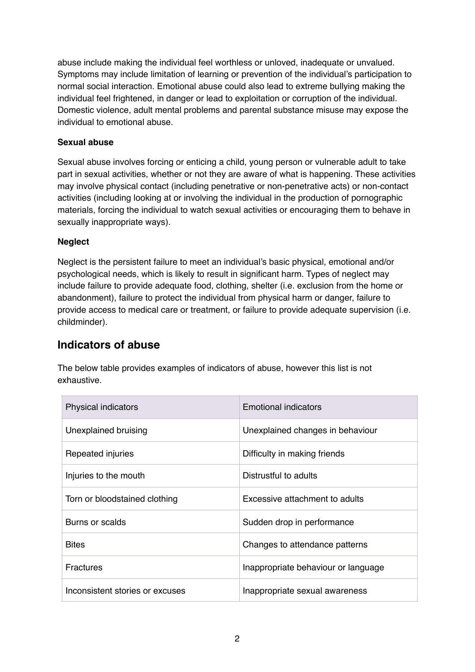abuse include making the individual feel worthless or unloved, inadequate or unvalued. Symptoms may include limitation of learning or prevention of the individual's participation to normal social interaction. Emotional abuse could also lead to extreme bullying making the individual feel frightened, in danger or lead to exploitation or corruption of the individual. Domestic violence, adult mental problems and parental substance misuse may expose the individual to emotional abuse.

#### **Sexual abuse**

Sexual abuse involves forcing or enticing a child, young person or vulnerable adult to take part in sexual activities, whether or not they are aware of what is happening. These activities may involve physical contact (including penetrative or non-penetrative acts) or non-contact activities (including looking at or involving the individual in the production of pornographic materials, forcing the individual to watch sexual activities or encouraging them to behave in sexually inappropriate ways).

#### **Neglect**

Neglect is the persistent failure to meet an individual's basic physical, emotional and/or psychological needs, which is likely to result in significant harm. Types of neglect may include failure to provide adequate food, clothing, shelter (i.e. exclusion from the home or abandonment), failure to protect the individual from physical harm or danger, failure to provide access to medical care or treatment, or failure to provide adequate supervision (i.e. childminder).

### **Indicators of abuse**

The below table provides examples of indicators of abuse, however this list is not exhaustive.

| <b>Physical indicators</b>      | <b>Emotional indicators</b>         |
|---------------------------------|-------------------------------------|
| Unexplained bruising            | Unexplained changes in behaviour    |
| Repeated injuries               | Difficulty in making friends        |
| Injuries to the mouth           | Distrustful to adults               |
| Torn or bloodstained clothing   | Excessive attachment to adults      |
| Burns or scalds                 | Sudden drop in performance          |
| <b>Bites</b>                    | Changes to attendance patterns      |
| <b>Fractures</b>                | Inappropriate behaviour or language |
| Inconsistent stories or excuses | Inappropriate sexual awareness      |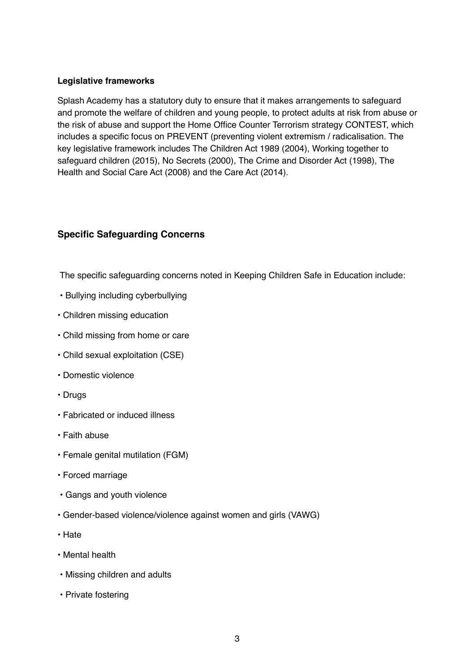#### **Legislative frameworks**

Splash Academy has a statutory duty to ensure that it makes arrangements to safeguard and promote the welfare of children and young people, to protect adults at risk from abuse or the risk of abuse and support the Home Office Counter Terrorism strategy CONTEST, which includes a specific focus on PREVENT (preventing violent extremism / radicalisation. The key legislative framework includes The Children Act 1989 (2004), Working together to safeguard children (2015), No Secrets (2000), The Crime and Disorder Act (1998), The Health and Social Care Act (2008) and the Care Act (2014).

#### **Specific Safeguarding Concerns**

The specific safeguarding concerns noted in Keeping Children Safe in Education include:

- Bullying including cyberbullying
- Children missing education
- Child missing from home or care
- Child sexual exploitation (CSE)
- Domestic violence
- Drugs
- Fabricated or induced illness
- Faith abuse
- Female genital mutilation (FGM)
- Forced marriage
- Gangs and youth violence
- Gender-based violence/violence against women and girls (VAWG)
- Hate
- Mental health
- Missing children and adults
- Private fostering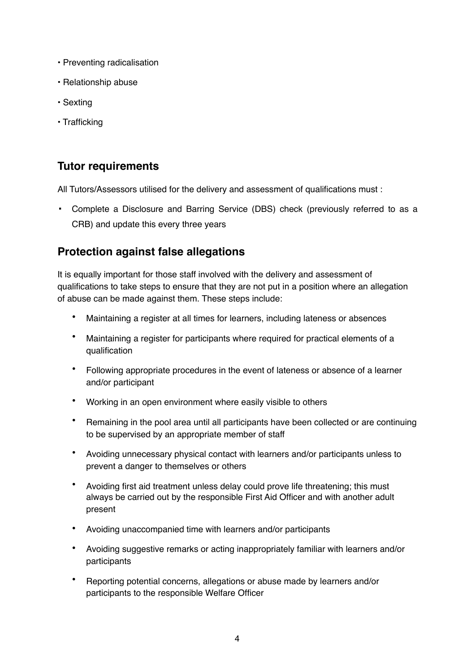- Preventing radicalisation
- Relationship abuse
- Sexting
- Trafficking

## **Tutor requirements**

All Tutors/Assessors utilised for the delivery and assessment of qualifications must :

▪ Complete a Disclosure and Barring Service (DBS) check (previously referred to as a CRB) and update this every three years

## **Protection against false allegations**

It is equally important for those staff involved with the delivery and assessment of qualifications to take steps to ensure that they are not put in a position where an allegation of abuse can be made against them. These steps include:

- Maintaining a register at all times for learners, including lateness or absences
- Maintaining a register for participants where required for practical elements of a qualification
- Following appropriate procedures in the event of lateness or absence of a learner and/or participant
- Working in an open environment where easily visible to others
- Remaining in the pool area until all participants have been collected or are continuing to be supervised by an appropriate member of staff
- Avoiding unnecessary physical contact with learners and/or participants unless to prevent a danger to themselves or others
- Avoiding first aid treatment unless delay could prove life threatening; this must always be carried out by the responsible First Aid Officer and with another adult present
- Avoiding unaccompanied time with learners and/or participants
- Avoiding suggestive remarks or acting inappropriately familiar with learners and/or participants
- Reporting potential concerns, allegations or abuse made by learners and/or participants to the responsible Welfare Officer